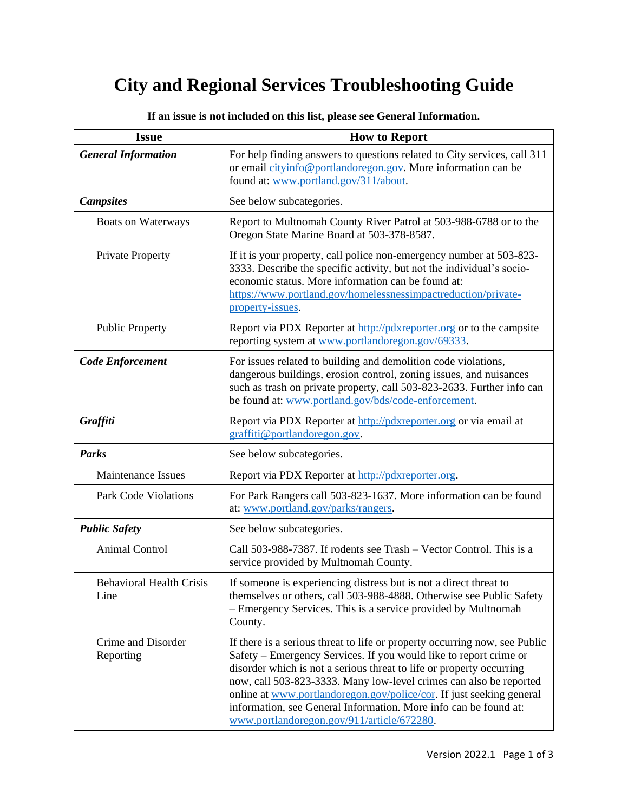## **City and Regional Services Troubleshooting Guide**

| <b>Issue</b>                            | <b>How to Report</b>                                                                                                                                                                                                                                                                                                                                                                                                                                                                    |
|-----------------------------------------|-----------------------------------------------------------------------------------------------------------------------------------------------------------------------------------------------------------------------------------------------------------------------------------------------------------------------------------------------------------------------------------------------------------------------------------------------------------------------------------------|
| <b>General Information</b>              | For help finding answers to questions related to City services, call 311<br>or email cityinfo@portlandoregon.gov. More information can be<br>found at: www.portland.gov/311/about.                                                                                                                                                                                                                                                                                                      |
| <b>Campsites</b>                        | See below subcategories.                                                                                                                                                                                                                                                                                                                                                                                                                                                                |
| Boats on Waterways                      | Report to Multnomah County River Patrol at 503-988-6788 or to the<br>Oregon State Marine Board at 503-378-8587.                                                                                                                                                                                                                                                                                                                                                                         |
| <b>Private Property</b>                 | If it is your property, call police non-emergency number at 503-823-<br>3333. Describe the specific activity, but not the individual's socio-<br>economic status. More information can be found at:<br>https://www.portland.gov/homelessnessimpactreduction/private-<br>property-issues.                                                                                                                                                                                                |
| <b>Public Property</b>                  | Report via PDX Reporter at http://pdxreporter.org or to the campsite<br>reporting system at www.portlandoregon.gov/69333.                                                                                                                                                                                                                                                                                                                                                               |
| <b>Code Enforcement</b>                 | For issues related to building and demolition code violations,<br>dangerous buildings, erosion control, zoning issues, and nuisances<br>such as trash on private property, call 503-823-2633. Further info can<br>be found at: www.portland.gov/bds/code-enforcement.                                                                                                                                                                                                                   |
| Graffiti                                | Report via PDX Reporter at http://pdxreporter.org or via email at<br>graffiti@portlandoregon.gov.                                                                                                                                                                                                                                                                                                                                                                                       |
| <b>Parks</b>                            | See below subcategories.                                                                                                                                                                                                                                                                                                                                                                                                                                                                |
| <b>Maintenance Issues</b>               | Report via PDX Reporter at http://pdxreporter.org.                                                                                                                                                                                                                                                                                                                                                                                                                                      |
| Park Code Violations                    | For Park Rangers call 503-823-1637. More information can be found<br>at: www.portland.gov/parks/rangers.                                                                                                                                                                                                                                                                                                                                                                                |
| <b>Public Safety</b>                    | See below subcategories.                                                                                                                                                                                                                                                                                                                                                                                                                                                                |
| <b>Animal Control</b>                   | Call 503-988-7387. If rodents see Trash - Vector Control. This is a<br>service provided by Multnomah County.                                                                                                                                                                                                                                                                                                                                                                            |
| <b>Behavioral Health Crisis</b><br>Line | If someone is experiencing distress but is not a direct threat to<br>themselves or others, call 503-988-4888. Otherwise see Public Safety<br>- Emergency Services. This is a service provided by Multnomah<br>County.                                                                                                                                                                                                                                                                   |
| Crime and Disorder<br>Reporting         | If there is a serious threat to life or property occurring now, see Public<br>Safety – Emergency Services. If you would like to report crime or<br>disorder which is not a serious threat to life or property occurring<br>now, call 503-823-3333. Many low-level crimes can also be reported<br>online at www.portlandoregon.gov/police/cor. If just seeking general<br>information, see General Information. More info can be found at:<br>www.portlandoregon.gov/911/article/672280. |

**If an issue is not included on this list, please see General Information.**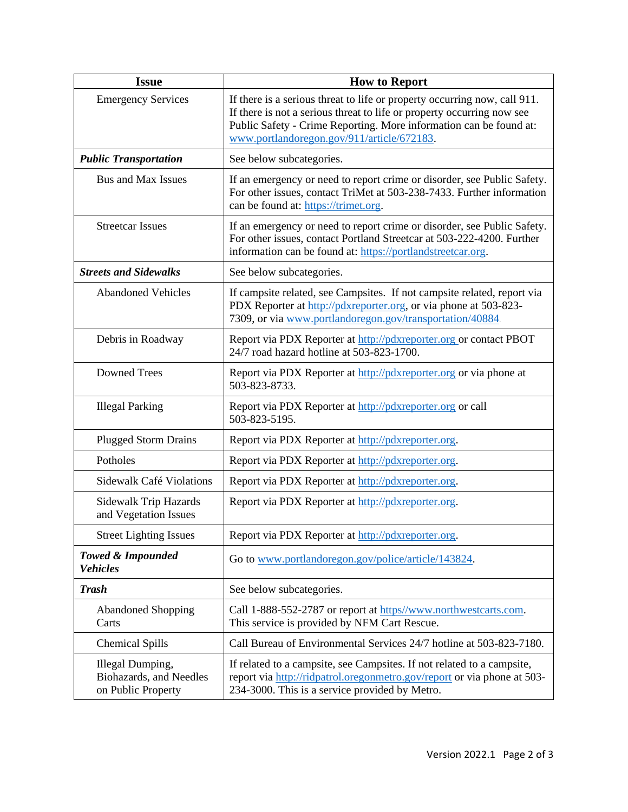| <b>Issue</b>                                                      | <b>How to Report</b>                                                                                                                                                                                                                                                    |
|-------------------------------------------------------------------|-------------------------------------------------------------------------------------------------------------------------------------------------------------------------------------------------------------------------------------------------------------------------|
| <b>Emergency Services</b>                                         | If there is a serious threat to life or property occurring now, call 911.<br>If there is not a serious threat to life or property occurring now see<br>Public Safety - Crime Reporting. More information can be found at:<br>www.portlandoregon.gov/911/article/672183. |
| <b>Public Transportation</b>                                      | See below subcategories.                                                                                                                                                                                                                                                |
| <b>Bus and Max Issues</b>                                         | If an emergency or need to report crime or disorder, see Public Safety.<br>For other issues, contact TriMet at 503-238-7433. Further information<br>can be found at: https://trimet.org.                                                                                |
| <b>Streetcar Issues</b>                                           | If an emergency or need to report crime or disorder, see Public Safety.<br>For other issues, contact Portland Streetcar at 503-222-4200. Further<br>information can be found at: https://portlandstreetcar.org.                                                         |
| <b>Streets and Sidewalks</b>                                      | See below subcategories.                                                                                                                                                                                                                                                |
| <b>Abandoned Vehicles</b>                                         | If campsite related, see Campsites. If not campsite related, report via<br>PDX Reporter at http://pdxreporter.org, or via phone at 503-823-<br>7309, or via www.portlandoregon.gov/transportation/40884.                                                                |
| Debris in Roadway                                                 | Report via PDX Reporter at http://pdxreporter.org or contact PBOT<br>24/7 road hazard hotline at 503-823-1700.                                                                                                                                                          |
| <b>Downed Trees</b>                                               | Report via PDX Reporter at http://pdxreporter.org or via phone at<br>503-823-8733.                                                                                                                                                                                      |
| <b>Illegal Parking</b>                                            | Report via PDX Reporter at http://pdxreporter.org or call<br>503-823-5195.                                                                                                                                                                                              |
| <b>Plugged Storm Drains</b>                                       | Report via PDX Reporter at http://pdxreporter.org.                                                                                                                                                                                                                      |
| Potholes                                                          | Report via PDX Reporter at http://pdxreporter.org.                                                                                                                                                                                                                      |
| Sidewalk Café Violations                                          | Report via PDX Reporter at http://pdxreporter.org.                                                                                                                                                                                                                      |
| Sidewalk Trip Hazards<br>and Vegetation Issues                    | Report via PDX Reporter at http://pdxreporter.org.                                                                                                                                                                                                                      |
| <b>Street Lighting Issues</b>                                     | Report via PDX Reporter at http://pdxreporter.org.                                                                                                                                                                                                                      |
| <b>Towed &amp; Impounded</b><br><b>Vehicles</b>                   | Go to www.portlandoregon.gov/police/article/143824.                                                                                                                                                                                                                     |
| <b>Trash</b>                                                      | See below subcategories.                                                                                                                                                                                                                                                |
| <b>Abandoned Shopping</b><br>Carts                                | Call 1-888-552-2787 or report at https//www.northwestcarts.com.<br>This service is provided by NFM Cart Rescue.                                                                                                                                                         |
| <b>Chemical Spills</b>                                            | Call Bureau of Environmental Services 24/7 hotline at 503-823-7180.                                                                                                                                                                                                     |
| Illegal Dumping,<br>Biohazards, and Needles<br>on Public Property | If related to a campsite, see Campsites. If not related to a campsite,<br>report via http://ridpatrol.orgonmetro.gov/report or via phone at 503-<br>234-3000. This is a service provided by Metro.                                                                      |